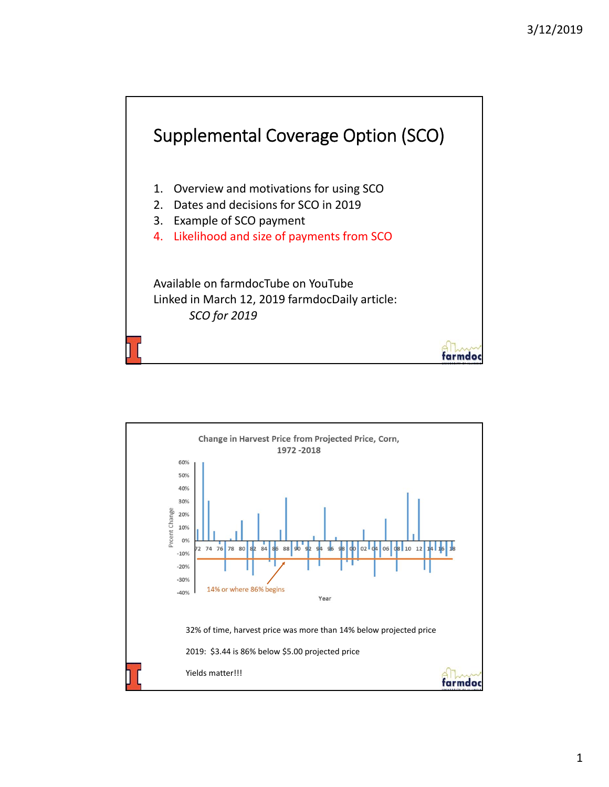

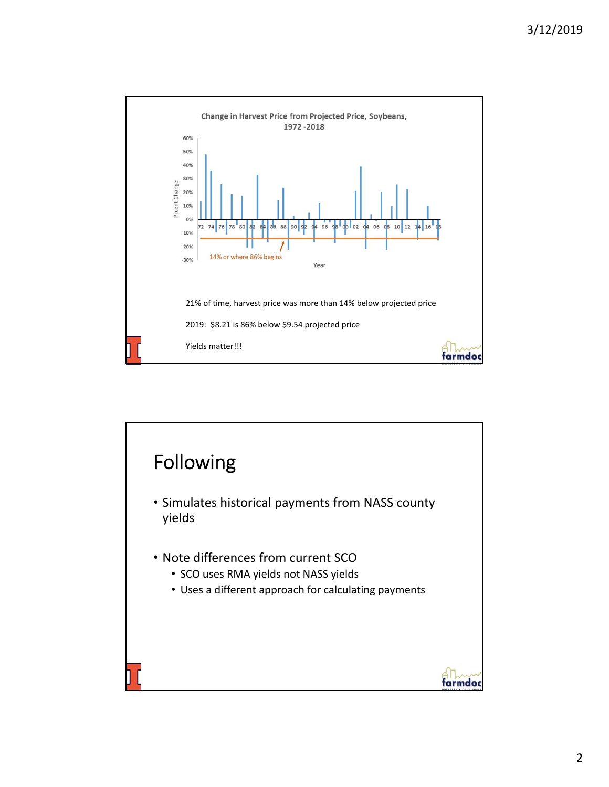

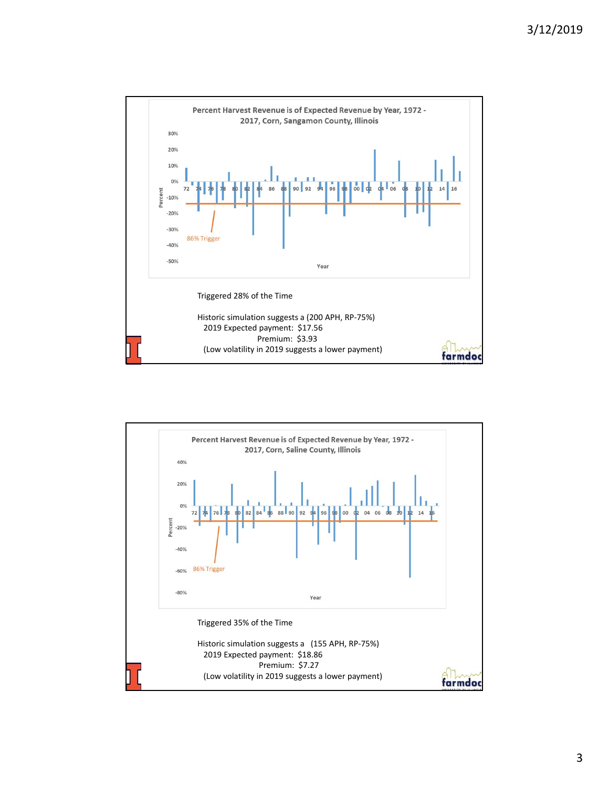

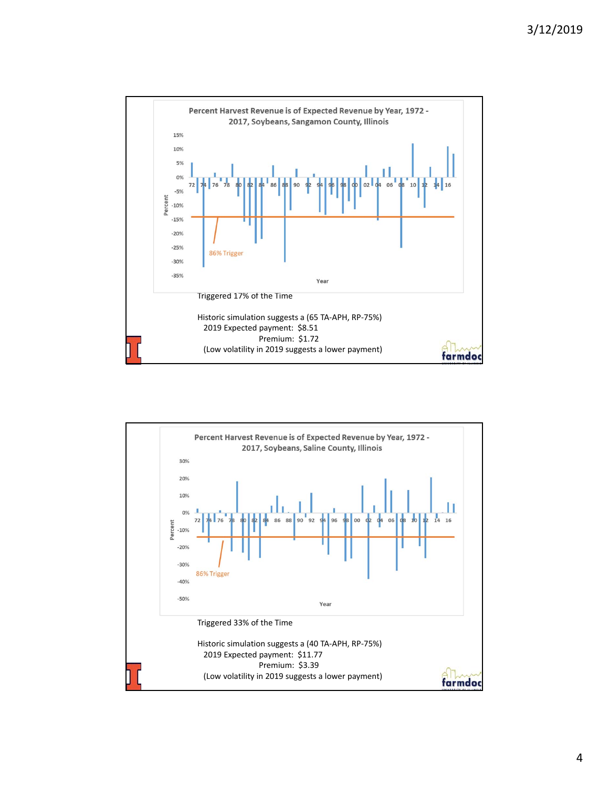